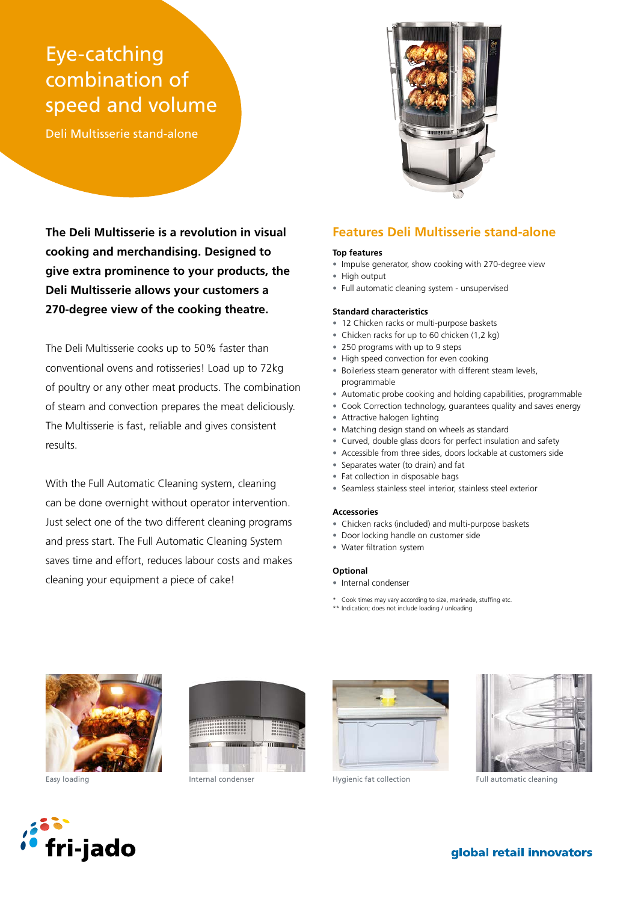# Eye-catching combination of speed and volume

Deli Multisserie stand-alone



**The Deli Multisserie is a revolution in visual cooking and merchandising. Designed to give extra prominence to your products, the Deli Multisserie allows your customers a 270-degree view of the cooking theatre.**

The Deli Multisserie cooks up to 50% faster than conventional ovens and rotisseries! Load up to 72kg of poultry or any other meat products. The combination of steam and convection prepares the meat deliciously. The Multisserie is fast, reliable and gives consistent results.

With the Full Automatic Cleaning system, cleaning can be done overnight without operator intervention. Just select one of the two different cleaning programs and press start. The Full Automatic Cleaning System saves time and effort, reduces labour costs and makes cleaning your equipment a piece of cake!

# **Features Deli Multisserie stand-alone**

### **Top features**

- Impulse generator, show cooking with 270-degree view
- High output
- Full automatic cleaning system unsupervised

#### **Standard characteristics**

- 12 Chicken racks or multi-purpose baskets
- Chicken racks for up to 60 chicken (1,2 kg)
- 250 programs with up to 9 steps
- High speed convection for even cooking
- Boilerless steam generator with different steam levels, programmable
- Automatic probe cooking and holding capabilities, programmable
- Cook Correction technology, guarantees quality and saves energy
- Attractive halogen lighting
- Matching design stand on wheels as standard
- Curved, double glass doors for perfect insulation and safety
- Accessible from three sides, doors lockable at customers side
- Separates water (to drain) and fat
- Fat collection in disposable bags
- Seamless stainless steel interior, stainless steel exterior

#### **Accessories**

- Chicken racks (included) and multi-purpose baskets
- Door locking handle on customer side
- Water filtration system

#### **Optional**

- Internal condenser
- \* Cook times may vary according to size, marinade, stuffing etc.
- \*\* Indication; does not include loading / unloading









Easy loading The Internal condenser The Hygienic fat collection Full automatic cleaning



global retail innovators